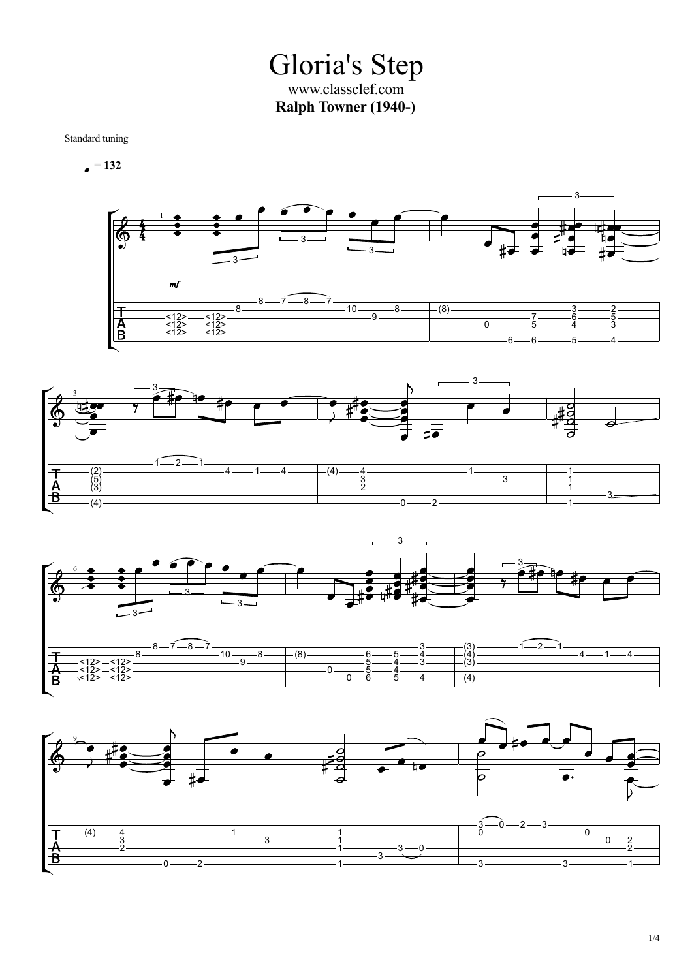Gloria's Step www.classclef.com **Ralph Towner(1940-)**

Standard tuning

$$
\blacktriangleleft = 132
$$







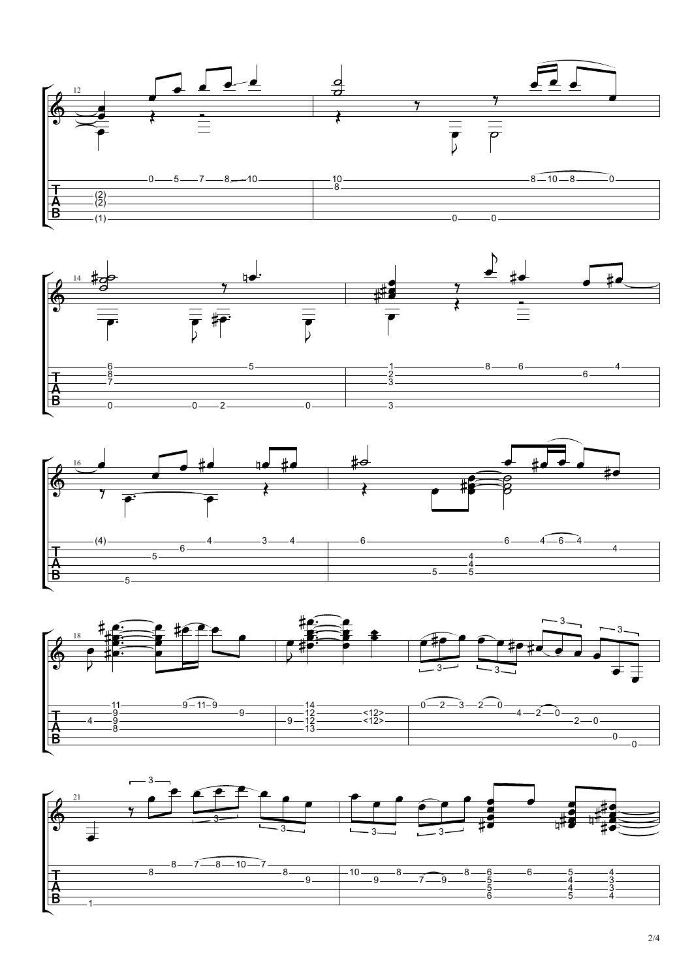







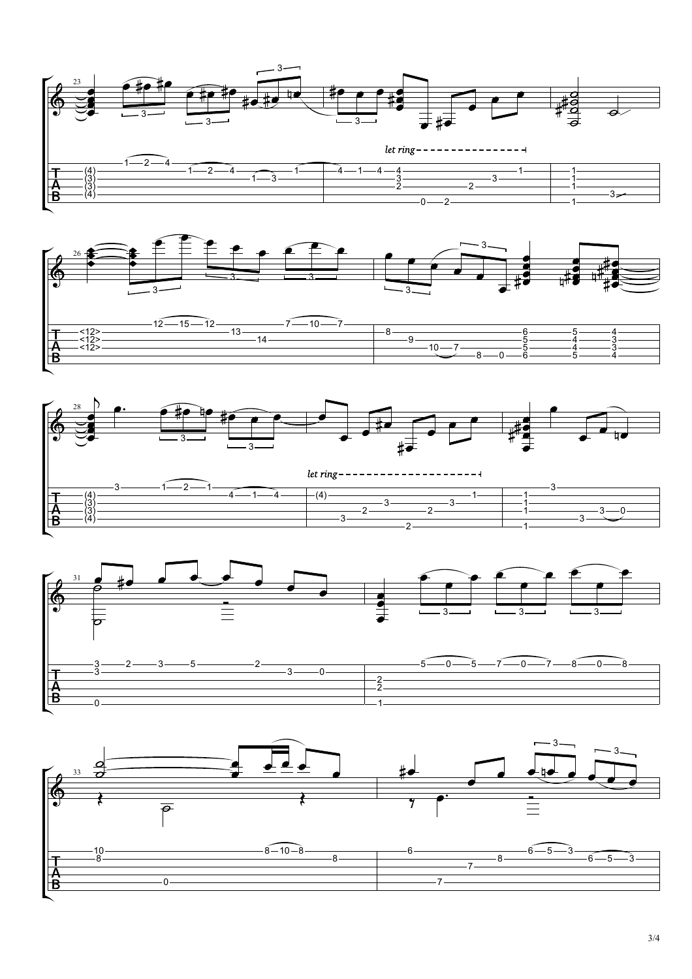